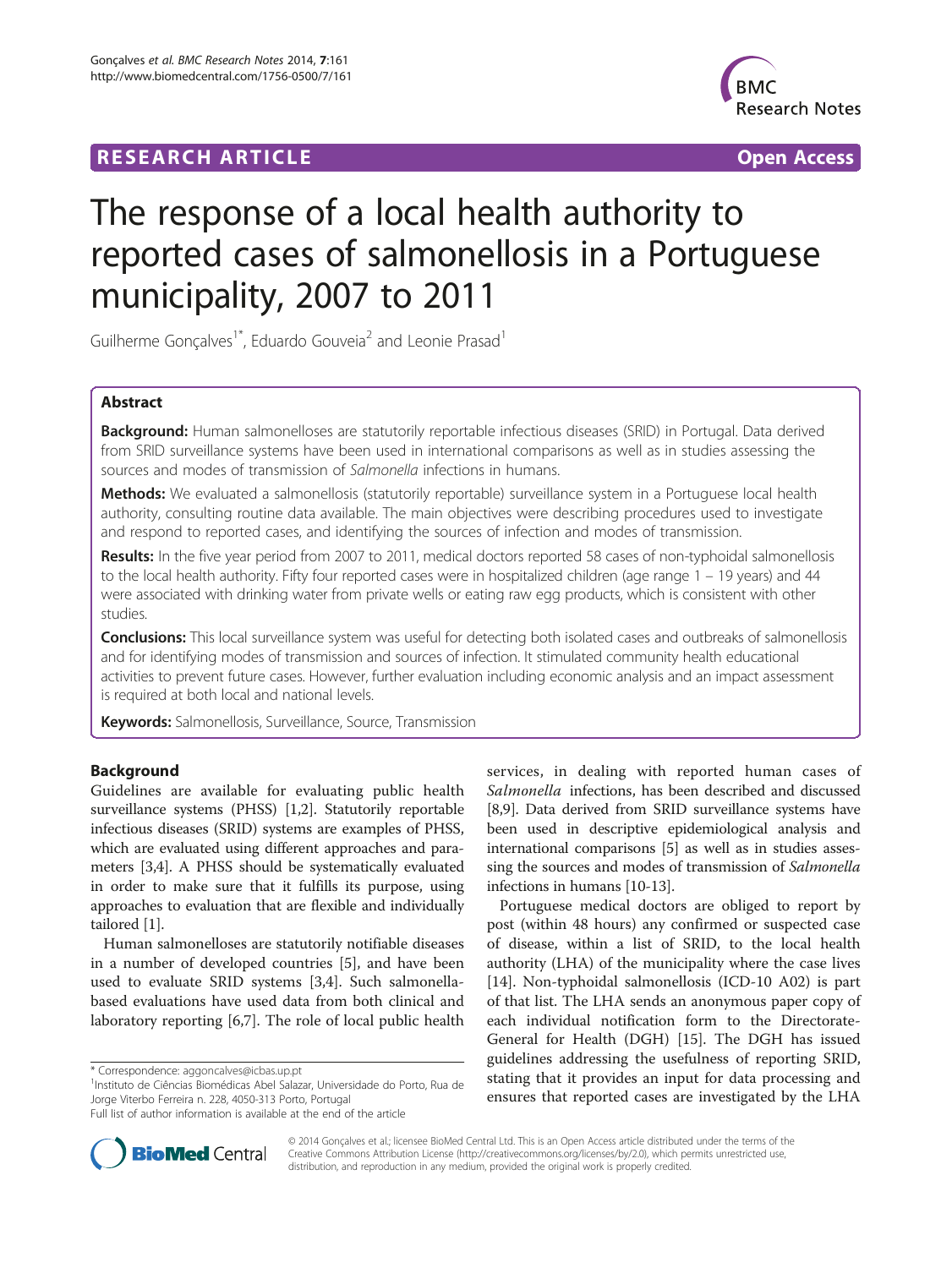## **RESEARCH ARTICLE Example 2014 CONSIDERING A RESEARCH ARTICLE**



# The response of a local health authority to reported cases of salmonellosis in a Portuguese municipality, 2007 to 2011

Guilherme Gonçalves<sup>1\*</sup>, Eduardo Gouveia<sup>2</sup> and Leonie Prasad<sup>1</sup>

## Abstract

Background: Human salmonelloses are statutorily reportable infectious diseases (SRID) in Portugal. Data derived from SRID surveillance systems have been used in international comparisons as well as in studies assessing the sources and modes of transmission of Salmonella infections in humans.

Methods: We evaluated a salmonellosis (statutorily reportable) surveillance system in a Portuguese local health authority, consulting routine data available. The main objectives were describing procedures used to investigate and respond to reported cases, and identifying the sources of infection and modes of transmission.

Results: In the five year period from 2007 to 2011, medical doctors reported 58 cases of non-typhoidal salmonellosis to the local health authority. Fifty four reported cases were in hospitalized children (age range 1 – 19 years) and 44 were associated with drinking water from private wells or eating raw egg products, which is consistent with other studies.

Conclusions: This local surveillance system was useful for detecting both isolated cases and outbreaks of salmonellosis and for identifying modes of transmission and sources of infection. It stimulated community health educational activities to prevent future cases. However, further evaluation including economic analysis and an impact assessment is required at both local and national levels.

Keywords: Salmonellosis, Surveillance, Source, Transmission

## Background

Guidelines are available for evaluating public health surveillance systems (PHSS) [\[1,2](#page-6-0)]. Statutorily reportable infectious diseases (SRID) systems are examples of PHSS, which are evaluated using different approaches and parameters [[3,4\]](#page-6-0). A PHSS should be systematically evaluated in order to make sure that it fulfills its purpose, using approaches to evaluation that are flexible and individually tailored [[1\]](#page-6-0).

Human salmonelloses are statutorily notifiable diseases in a number of developed countries [\[5](#page-6-0)], and have been used to evaluate SRID systems [[3,4\]](#page-6-0). Such salmonellabased evaluations have used data from both clinical and laboratory reporting [[6](#page-6-0),[7\]](#page-6-0). The role of local public health

\* Correspondence: [aggoncalves@icbas.up.pt](mailto:aggoncalves@icbas.up.pt) <sup>1</sup>

<sup>1</sup>Instituto de Ciências Biomédicas Abel Salazar, Universidade do Porto, Rua de Jorge Viterbo Ferreira n. 228, 4050-313 Porto, Portugal

services, in dealing with reported human cases of Salmonella infections, has been described and discussed [[8,9\]](#page-6-0). Data derived from SRID surveillance systems have been used in descriptive epidemiological analysis and international comparisons [\[5\]](#page-6-0) as well as in studies assessing the sources and modes of transmission of Salmonella infections in humans [\[10-13](#page-6-0)].

Portuguese medical doctors are obliged to report by post (within 48 hours) any confirmed or suspected case of disease, within a list of SRID, to the local health authority (LHA) of the municipality where the case lives [[14\]](#page-6-0). Non-typhoidal salmonellosis (ICD-10 A02) is part of that list. The LHA sends an anonymous paper copy of each individual notification form to the Directorate-General for Health (DGH) [[15\]](#page-6-0). The DGH has issued guidelines addressing the usefulness of reporting SRID, stating that it provides an input for data processing and ensures that reported cases are investigated by the LHA



© 2014 Gonçalves et al.; licensee BioMed Central Ltd. This is an Open Access article distributed under the terms of the Creative Commons Attribution License (<http://creativecommons.org/licenses/by/2.0>), which permits unrestricted use, distribution, and reproduction in any medium, provided the original work is properly credited.

Full list of author information is available at the end of the article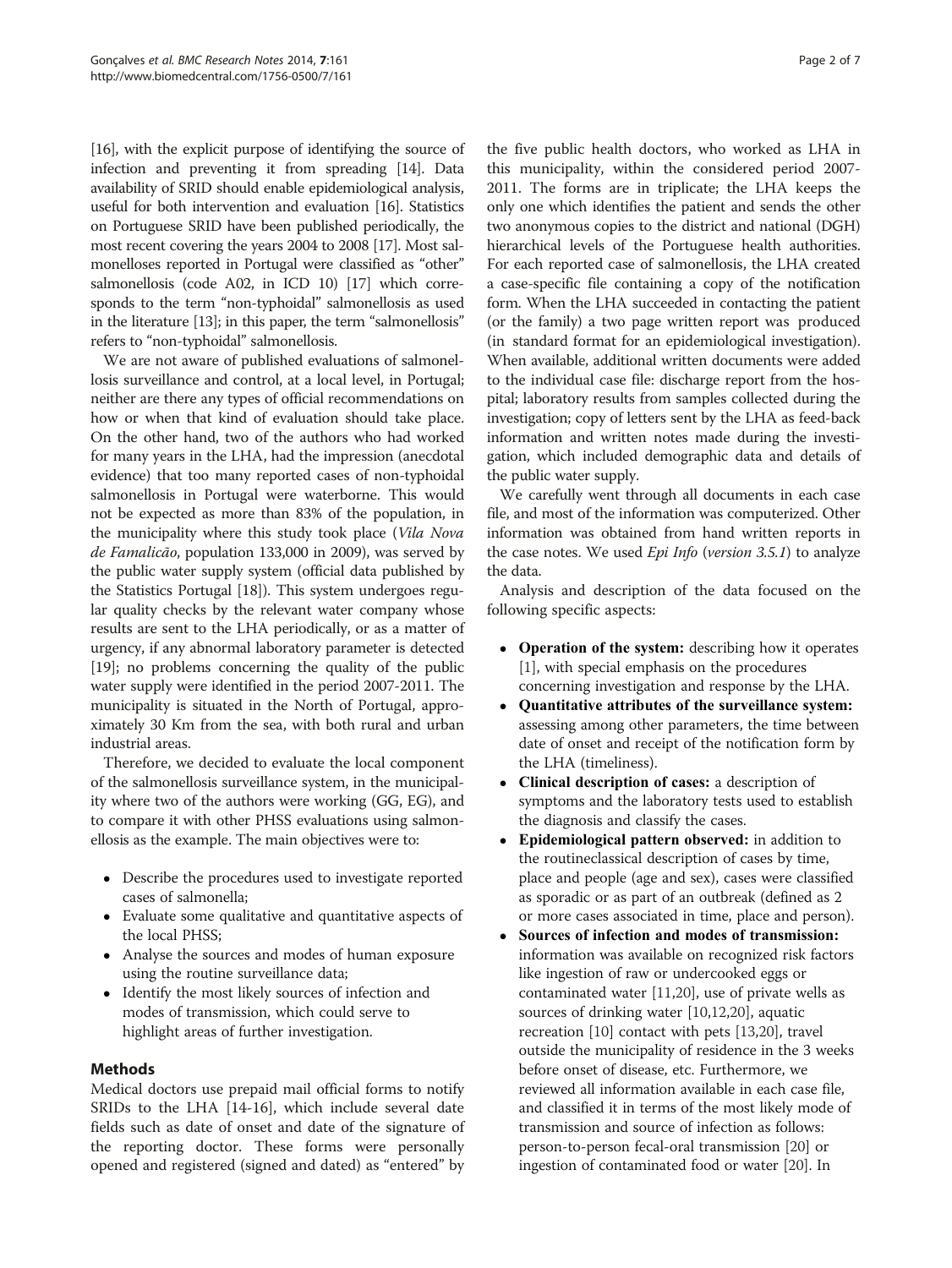[[16](#page-6-0)], with the explicit purpose of identifying the source of infection and preventing it from spreading [\[14\]](#page-6-0). Data availability of SRID should enable epidemiological analysis, useful for both intervention and evaluation [[16](#page-6-0)]. Statistics on Portuguese SRID have been published periodically, the most recent covering the years 2004 to 2008 [\[17\]](#page-6-0). Most salmonelloses reported in Portugal were classified as "other" salmonellosis (code A02, in ICD 10) [[17](#page-6-0)] which corresponds to the term "non-typhoidal" salmonellosis as used in the literature [[13](#page-6-0)]; in this paper, the term "salmonellosis" refers to "non-typhoidal" salmonellosis.

We are not aware of published evaluations of salmonellosis surveillance and control, at a local level, in Portugal; neither are there any types of official recommendations on how or when that kind of evaluation should take place. On the other hand, two of the authors who had worked for many years in the LHA, had the impression (anecdotal evidence) that too many reported cases of non-typhoidal salmonellosis in Portugal were waterborne. This would not be expected as more than 83% of the population, in the municipality where this study took place (Vila Nova de Famalicão, population 133,000 in 2009), was served by the public water supply system (official data published by the Statistics Portugal [[18](#page-6-0)]). This system undergoes regular quality checks by the relevant water company whose results are sent to the LHA periodically, or as a matter of urgency, if any abnormal laboratory parameter is detected [[19](#page-6-0)]; no problems concerning the quality of the public water supply were identified in the period 2007-2011. The municipality is situated in the North of Portugal, approximately 30 Km from the sea, with both rural and urban industrial areas.

Therefore, we decided to evaluate the local component of the salmonellosis surveillance system, in the municipality where two of the authors were working (GG, EG), and to compare it with other PHSS evaluations using salmonellosis as the example. The main objectives were to:

- Describe the procedures used to investigate reported cases of salmonella;
- Evaluate some qualitative and quantitative aspects of the local PHSS;
- Analyse the sources and modes of human exposure using the routine surveillance data;
- Identify the most likely sources of infection and modes of transmission, which could serve to highlight areas of further investigation.

## Methods

Medical doctors use prepaid mail official forms to notify SRIDs to the LHA [[14](#page-6-0)-[16\]](#page-6-0), which include several date fields such as date of onset and date of the signature of the reporting doctor. These forms were personally opened and registered (signed and dated) as "entered" by

the five public health doctors, who worked as LHA in this municipality, within the considered period 2007- 2011. The forms are in triplicate; the LHA keeps the only one which identifies the patient and sends the other two anonymous copies to the district and national (DGH) hierarchical levels of the Portuguese health authorities. For each reported case of salmonellosis, the LHA created a case-specific file containing a copy of the notification form. When the LHA succeeded in contacting the patient (or the family) a two page written report was produced (in standard format for an epidemiological investigation). When available, additional written documents were added to the individual case file: discharge report from the hospital; laboratory results from samples collected during the investigation; copy of letters sent by the LHA as feed-back information and written notes made during the investigation, which included demographic data and details of the public water supply.

We carefully went through all documents in each case file, and most of the information was computerized. Other information was obtained from hand written reports in the case notes. We used *Epi Info* (version 3.5.1) to analyze the data.

Analysis and description of the data focused on the following specific aspects:

- Operation of the system: describing how it operates [[1\]](#page-6-0), with special emphasis on the procedures concerning investigation and response by the LHA.
- Ouantitative attributes of the surveillance system: assessing among other parameters, the time between date of onset and receipt of the notification form by the LHA (timeliness).
- Clinical description of cases: a description of symptoms and the laboratory tests used to establish the diagnosis and classify the cases.
- Epidemiological pattern observed: in addition to the routineclassical description of cases by time, place and people (age and sex), cases were classified as sporadic or as part of an outbreak (defined as 2 or more cases associated in time, place and person).
- Sources of infection and modes of transmission: information was available on recognized risk factors like ingestion of raw or undercooked eggs or contaminated water [[11,20](#page-6-0)], use of private wells as sources of drinking water [\[10,12,20](#page-6-0)], aquatic recreation [[10](#page-6-0)] contact with pets [\[13,20\]](#page-6-0), travel outside the municipality of residence in the 3 weeks before onset of disease, etc. Furthermore, we reviewed all information available in each case file, and classified it in terms of the most likely mode of transmission and source of infection as follows: person-to-person fecal-oral transmission [\[20\]](#page-6-0) or ingestion of contaminated food or water [\[20](#page-6-0)]. In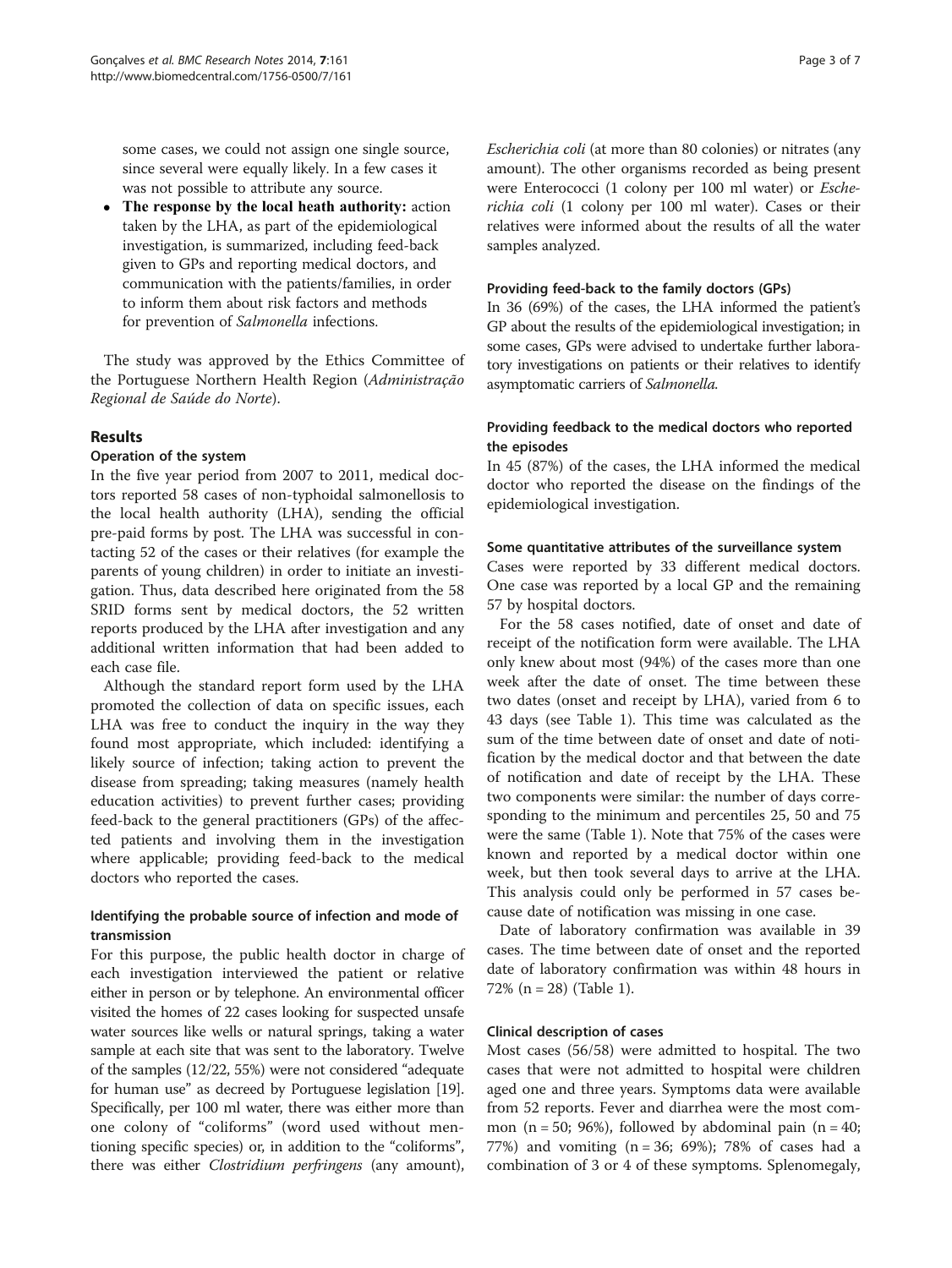some cases, we could not assign one single source, since several were equally likely. In a few cases it was not possible to attribute any source.

• The response by the local heath authority: action taken by the LHA, as part of the epidemiological investigation, is summarized, including feed-back given to GPs and reporting medical doctors, and communication with the patients/families, in order to inform them about risk factors and methods for prevention of Salmonella infections.

The study was approved by the Ethics Committee of the Portuguese Northern Health Region (Administração Regional de Saúde do Norte).

## Results

## Operation of the system

In the five year period from 2007 to 2011, medical doctors reported 58 cases of non-typhoidal salmonellosis to the local health authority (LHA), sending the official pre-paid forms by post. The LHA was successful in contacting 52 of the cases or their relatives (for example the parents of young children) in order to initiate an investigation. Thus, data described here originated from the 58 SRID forms sent by medical doctors, the 52 written reports produced by the LHA after investigation and any additional written information that had been added to each case file.

Although the standard report form used by the LHA promoted the collection of data on specific issues, each LHA was free to conduct the inquiry in the way they found most appropriate, which included: identifying a likely source of infection; taking action to prevent the disease from spreading; taking measures (namely health education activities) to prevent further cases; providing feed-back to the general practitioners (GPs) of the affected patients and involving them in the investigation where applicable; providing feed-back to the medical doctors who reported the cases.

## Identifying the probable source of infection and mode of transmission

For this purpose, the public health doctor in charge of each investigation interviewed the patient or relative either in person or by telephone. An environmental officer visited the homes of 22 cases looking for suspected unsafe water sources like wells or natural springs, taking a water sample at each site that was sent to the laboratory. Twelve of the samples (12/22, 55%) were not considered "adequate for human use" as decreed by Portuguese legislation [\[19](#page-6-0)]. Specifically, per 100 ml water, there was either more than one colony of "coliforms" (word used without mentioning specific species) or, in addition to the "coliforms", there was either Clostridium perfringens (any amount),

Escherichia coli (at more than 80 colonies) or nitrates (any amount). The other organisms recorded as being present were Enterococci (1 colony per 100 ml water) or Escherichia coli (1 colony per 100 ml water). Cases or their relatives were informed about the results of all the water samples analyzed.

## Providing feed-back to the family doctors (GPs)

In 36 (69%) of the cases, the LHA informed the patient's GP about the results of the epidemiological investigation; in some cases, GPs were advised to undertake further laboratory investigations on patients or their relatives to identify asymptomatic carriers of Salmonella.

## Providing feedback to the medical doctors who reported the episodes

In 45 (87%) of the cases, the LHA informed the medical doctor who reported the disease on the findings of the epidemiological investigation.

## Some quantitative attributes of the surveillance system

Cases were reported by 33 different medical doctors. One case was reported by a local GP and the remaining 57 by hospital doctors.

For the 58 cases notified, date of onset and date of receipt of the notification form were available. The LHA only knew about most (94%) of the cases more than one week after the date of onset. The time between these two dates (onset and receipt by LHA), varied from 6 to 43 days (see Table [1\)](#page-3-0). This time was calculated as the sum of the time between date of onset and date of notification by the medical doctor and that between the date of notification and date of receipt by the LHA. These two components were similar: the number of days corresponding to the minimum and percentiles 25, 50 and 75 were the same (Table [1](#page-3-0)). Note that 75% of the cases were known and reported by a medical doctor within one week, but then took several days to arrive at the LHA. This analysis could only be performed in 57 cases because date of notification was missing in one case.

Date of laboratory confirmation was available in 39 cases. The time between date of onset and the reported date of laboratory confirmation was within 48 hours in 72% (n = 28) (Table [1\)](#page-3-0).

## Clinical description of cases

Most cases (56/58) were admitted to hospital. The two cases that were not admitted to hospital were children aged one and three years. Symptoms data were available from 52 reports. Fever and diarrhea were the most common (n = 50; 96%), followed by abdominal pain (n = 40; 77%) and vomiting (n = 36; 69%); 78% of cases had a combination of 3 or 4 of these symptoms. Splenomegaly,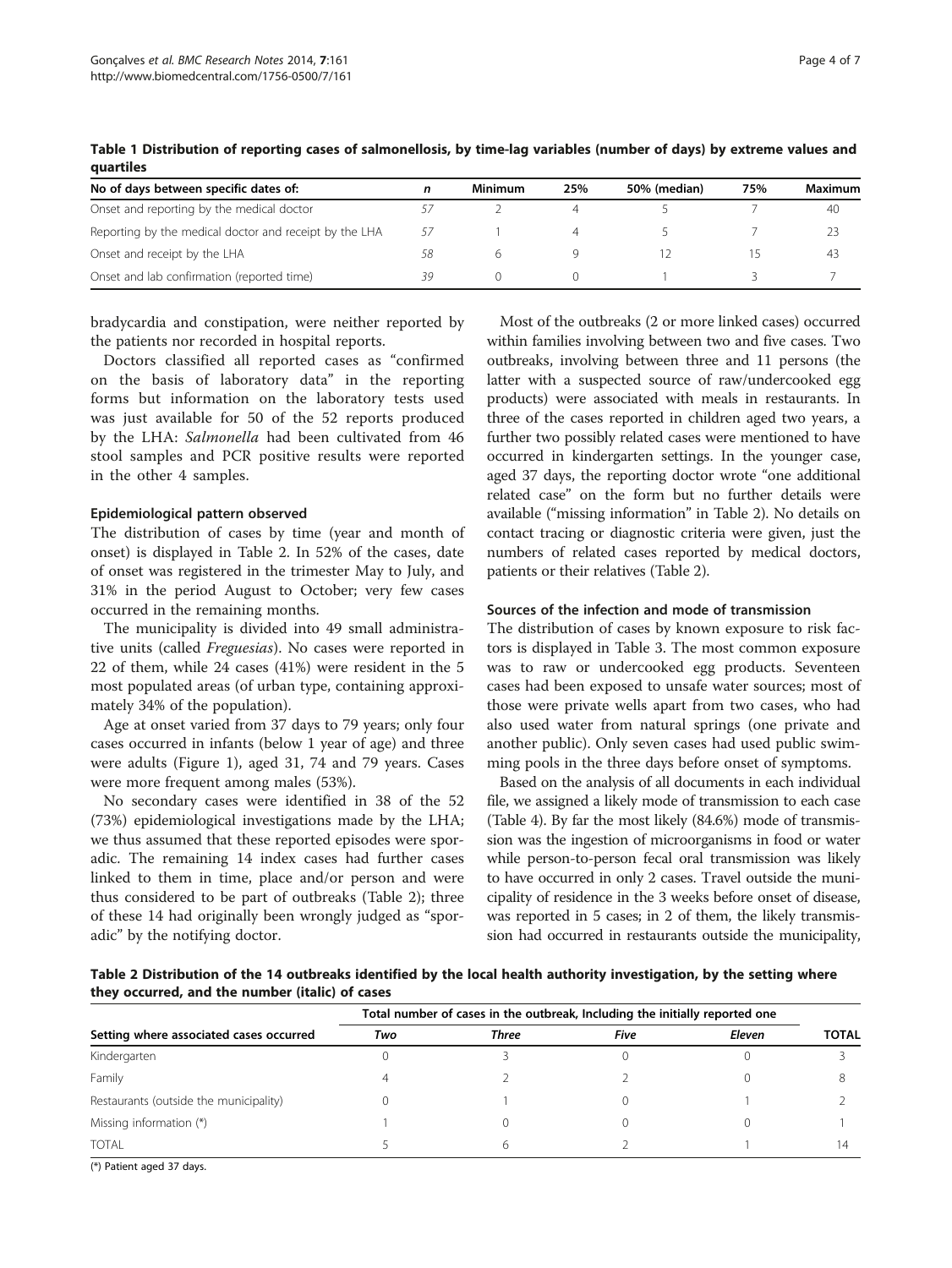| No of days between specific dates of:                  | n  | Minimum | 25% | 50% (median) | 75% | Maximum |
|--------------------------------------------------------|----|---------|-----|--------------|-----|---------|
| Onset and reporting by the medical doctor              |    |         |     |              |     | 40      |
| Reporting by the medical doctor and receipt by the LHA | 57 |         |     |              |     |         |
| Onset and receipt by the LHA                           | 58 |         |     |              |     | 43      |
| Onset and lab confirmation (reported time)             |    |         |     |              |     |         |

<span id="page-3-0"></span>Table 1 Distribution of reporting cases of salmonellosis, by time-lag variables (number of days) by extreme values and quartiles

bradycardia and constipation, were neither reported by the patients nor recorded in hospital reports.

Doctors classified all reported cases as "confirmed on the basis of laboratory data" in the reporting forms but information on the laboratory tests used was just available for 50 of the 52 reports produced by the LHA: Salmonella had been cultivated from 46 stool samples and PCR positive results were reported in the other 4 samples.

#### Epidemiological pattern observed

The distribution of cases by time (year and month of onset) is displayed in Table 2. In 52% of the cases, date of onset was registered in the trimester May to July, and 31% in the period August to October; very few cases occurred in the remaining months.

The municipality is divided into 49 small administrative units (called Freguesias). No cases were reported in 22 of them, while 24 cases (41%) were resident in the 5 most populated areas (of urban type, containing approximately 34% of the population).

Age at onset varied from 37 days to 79 years; only four cases occurred in infants (below 1 year of age) and three were adults (Figure [1](#page-4-0)), aged 31, 74 and 79 years. Cases were more frequent among males (53%).

No secondary cases were identified in 38 of the 52 (73%) epidemiological investigations made by the LHA; we thus assumed that these reported episodes were sporadic. The remaining 14 index cases had further cases linked to them in time, place and/or person and were thus considered to be part of outbreaks (Table 2); three of these 14 had originally been wrongly judged as "sporadic" by the notifying doctor.

Most of the outbreaks (2 or more linked cases) occurred within families involving between two and five cases. Two outbreaks, involving between three and 11 persons (the latter with a suspected source of raw/undercooked egg products) were associated with meals in restaurants. In three of the cases reported in children aged two years, a further two possibly related cases were mentioned to have occurred in kindergarten settings. In the younger case, aged 37 days, the reporting doctor wrote "one additional related case" on the form but no further details were available ("missing information" in Table 2). No details on contact tracing or diagnostic criteria were given, just the numbers of related cases reported by medical doctors, patients or their relatives (Table 2).

## Sources of the infection and mode of transmission

The distribution of cases by known exposure to risk factors is displayed in Table [3.](#page-4-0) The most common exposure was to raw or undercooked egg products. Seventeen cases had been exposed to unsafe water sources; most of those were private wells apart from two cases, who had also used water from natural springs (one private and another public). Only seven cases had used public swimming pools in the three days before onset of symptoms.

Based on the analysis of all documents in each individual file, we assigned a likely mode of transmission to each case (Table [4\)](#page-4-0). By far the most likely (84.6%) mode of transmission was the ingestion of microorganisms in food or water while person-to-person fecal oral transmission was likely to have occurred in only 2 cases. Travel outside the municipality of residence in the 3 weeks before onset of disease, was reported in 5 cases; in 2 of them, the likely transmission had occurred in restaurants outside the municipality,

Table 2 Distribution of the 14 outbreaks identified by the local health authority investigation, by the setting where they occurred, and the number (italic) of cases

| Setting where associated cases occurred | Total number of cases in the outbreak, Including the initially reported one |              |      |        |              |
|-----------------------------------------|-----------------------------------------------------------------------------|--------------|------|--------|--------------|
|                                         | Two                                                                         | <b>Three</b> | Five | Eleven | <b>TOTAL</b> |
| Kindergarten                            |                                                                             |              |      |        |              |
| Family                                  |                                                                             |              |      |        |              |
| Restaurants (outside the municipality)  |                                                                             |              |      |        |              |
| Missing information (*)                 |                                                                             |              |      |        |              |
| <b>TOTAL</b>                            |                                                                             | h            |      |        | 14           |

(\*) Patient aged 37 days.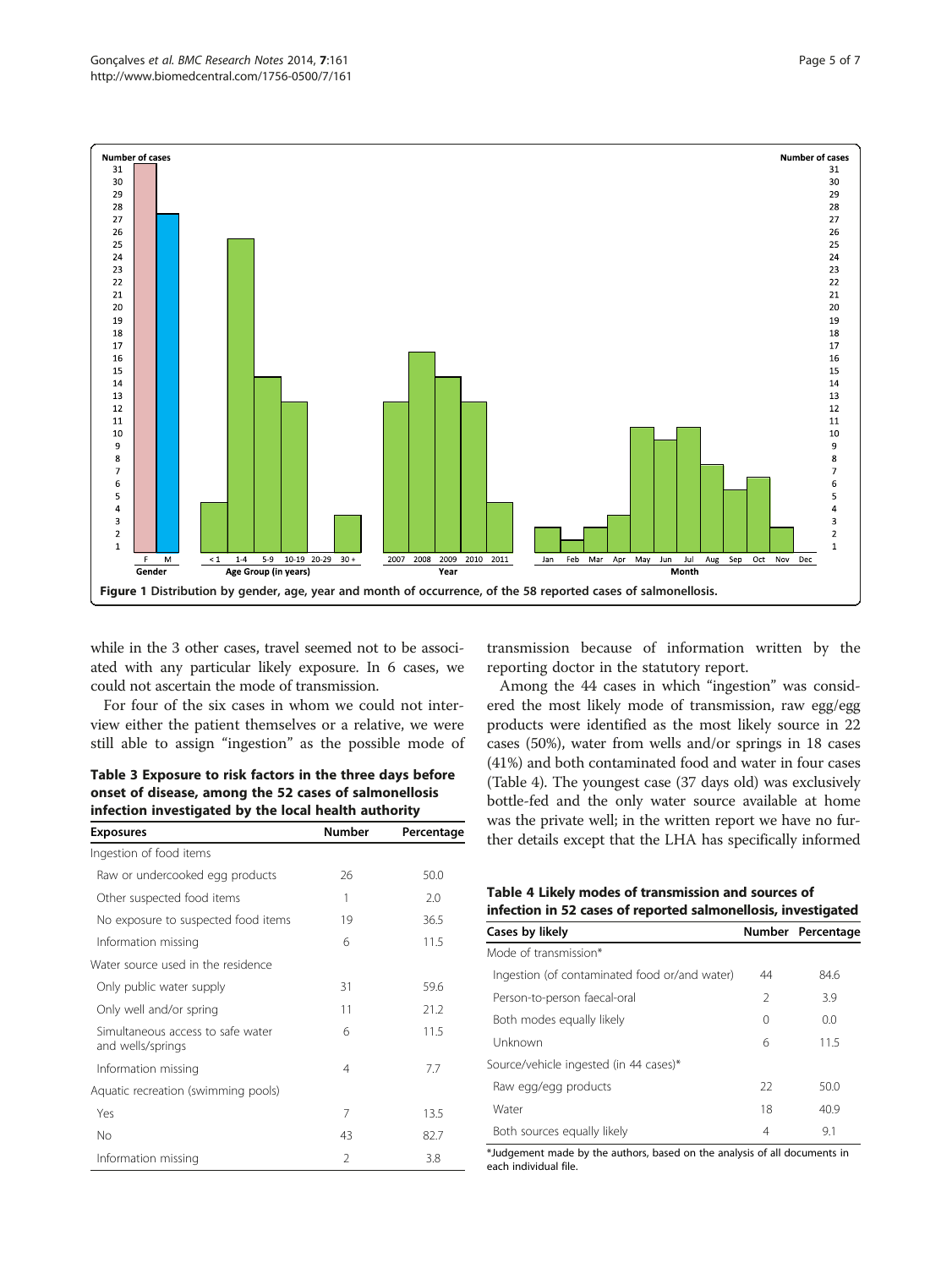<span id="page-4-0"></span>

while in the 3 other cases, travel seemed not to be associated with any particular likely exposure. In 6 cases, we could not ascertain the mode of transmission.

For four of the six cases in whom we could not interview either the patient themselves or a relative, we were still able to assign "ingestion" as the possible mode of

| Table 3 Exposure to risk factors in the three days before |  |  |
|-----------------------------------------------------------|--|--|
| onset of disease, among the 52 cases of salmonellosis     |  |  |
| infection investigated by the local health authority      |  |  |

| <b>Exposures</b>                                       | <b>Number</b> | Percentage |  |
|--------------------------------------------------------|---------------|------------|--|
| Ingestion of food items                                |               |            |  |
| Raw or undercooked egg products                        | 26            | 50.0       |  |
| Other suspected food items                             | 1             | 2.0        |  |
| No exposure to suspected food items                    | 19            | 36.5       |  |
| Information missing                                    | 6             | 11.5       |  |
| Water source used in the residence                     |               |            |  |
| Only public water supply                               | 31            | 59.6       |  |
| Only well and/or spring                                | 11            | 21.2       |  |
| Simultaneous access to safe water<br>and wells/springs | 6             | 11.5       |  |
| Information missing                                    | 4             | 7.7        |  |
| Aquatic recreation (swimming pools)                    |               |            |  |
| Yes                                                    | 7             | 13.5       |  |
| No                                                     | 43            | 82.7       |  |
| Information missing                                    | 2             | 3.8        |  |

transmission because of information written by the reporting doctor in the statutory report.

Among the 44 cases in which "ingestion" was considered the most likely mode of transmission, raw egg/egg products were identified as the most likely source in 22 cases (50%), water from wells and/or springs in 18 cases (41%) and both contaminated food and water in four cases (Table 4). The youngest case (37 days old) was exclusively bottle-fed and the only water source available at home was the private well; in the written report we have no further details except that the LHA has specifically informed

Table 4 Likely modes of transmission and sources of infection in 52 cases of reported salmonellosis, investigated

| Cases by likely                               |               | Number Percentage |  |  |
|-----------------------------------------------|---------------|-------------------|--|--|
| Mode of transmission*                         |               |                   |  |  |
| Ingestion (of contaminated food or/and water) | 44            | 84.6              |  |  |
| Person-to-person faecal-oral                  | $\mathcal{P}$ | 3.9               |  |  |
| Both modes equally likely                     | 0             | 0.0               |  |  |
| Unknown                                       | 6             | 11.5              |  |  |
| Source/vehicle ingested (in 44 cases)*        |               |                   |  |  |
| Raw egg/egg products                          | 22            | 50.0              |  |  |
| Water                                         | 18            | 40.9              |  |  |
| Both sources equally likely                   | 4             | 9.1               |  |  |

\*Judgement made by the authors, based on the analysis of all documents in each individual file.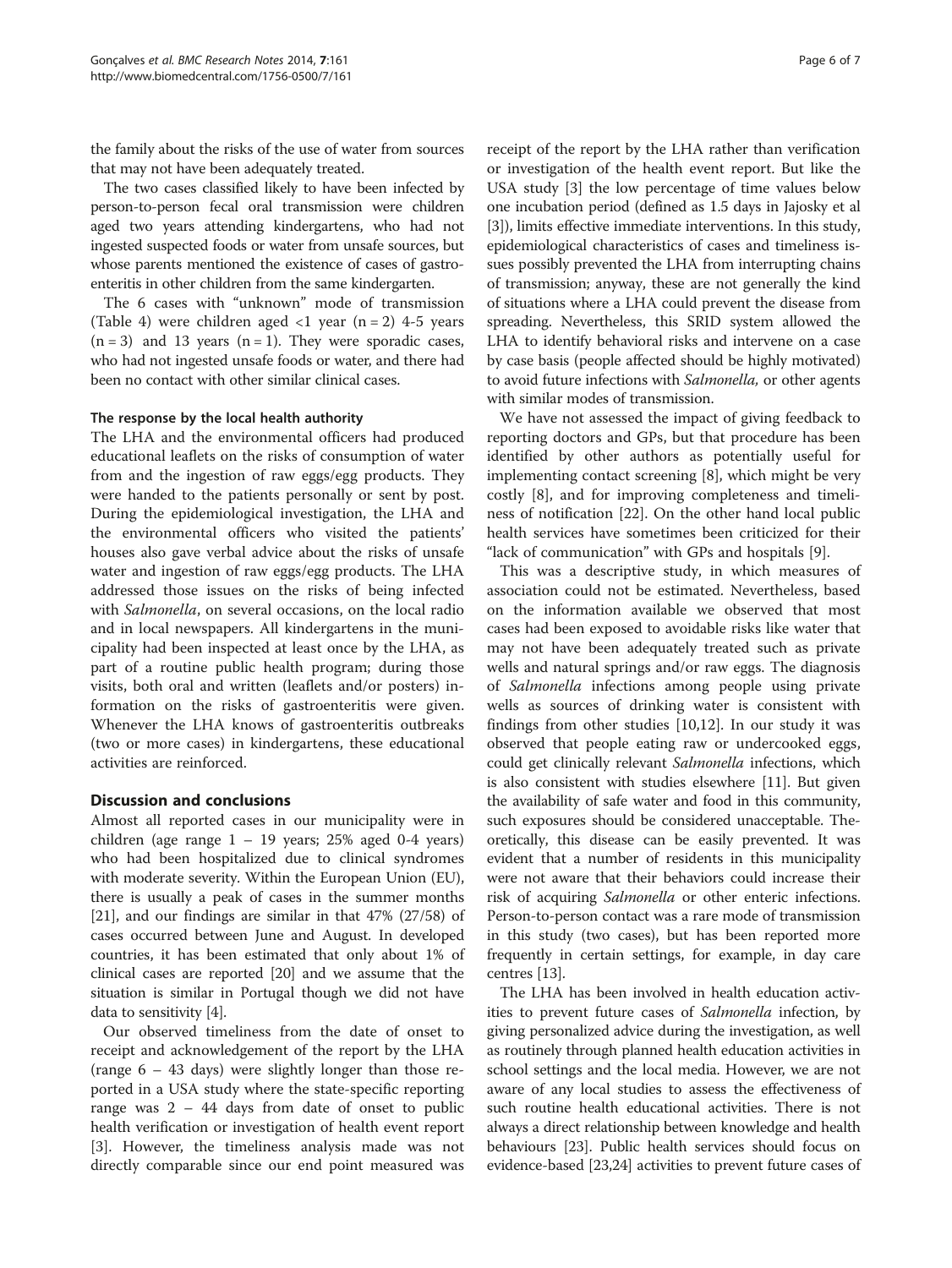the family about the risks of the use of water from sources that may not have been adequately treated.

The two cases classified likely to have been infected by person-to-person fecal oral transmission were children aged two years attending kindergartens, who had not ingested suspected foods or water from unsafe sources, but whose parents mentioned the existence of cases of gastroenteritis in other children from the same kindergarten.

The 6 cases with "unknown" mode of transmission (Table [4\)](#page-4-0) were children aged  $\langle 1 \rangle$  year (n = 2) 4-5 years  $(n = 3)$  and 13 years  $(n = 1)$ . They were sporadic cases, who had not ingested unsafe foods or water, and there had been no contact with other similar clinical cases.

## The response by the local health authority

The LHA and the environmental officers had produced educational leaflets on the risks of consumption of water from and the ingestion of raw eggs/egg products. They were handed to the patients personally or sent by post. During the epidemiological investigation, the LHA and the environmental officers who visited the patients' houses also gave verbal advice about the risks of unsafe water and ingestion of raw eggs/egg products. The LHA addressed those issues on the risks of being infected with Salmonella, on several occasions, on the local radio and in local newspapers. All kindergartens in the municipality had been inspected at least once by the LHA, as part of a routine public health program; during those visits, both oral and written (leaflets and/or posters) information on the risks of gastroenteritis were given. Whenever the LHA knows of gastroenteritis outbreaks (two or more cases) in kindergartens, these educational activities are reinforced.

## Discussion and conclusions

Almost all reported cases in our municipality were in children (age range  $1 - 19$  years; 25% aged 0-4 years) who had been hospitalized due to clinical syndromes with moderate severity. Within the European Union (EU), there is usually a peak of cases in the summer months [[21](#page-6-0)], and our findings are similar in that 47% (27/58) of cases occurred between June and August. In developed countries, it has been estimated that only about 1% of clinical cases are reported [\[20\]](#page-6-0) and we assume that the situation is similar in Portugal though we did not have data to sensitivity [\[4\]](#page-6-0).

Our observed timeliness from the date of onset to receipt and acknowledgement of the report by the LHA (range 6 – 43 days) were slightly longer than those reported in a USA study where the state-specific reporting range was 2 – 44 days from date of onset to public health verification or investigation of health event report [[3\]](#page-6-0). However, the timeliness analysis made was not directly comparable since our end point measured was

receipt of the report by the LHA rather than verification or investigation of the health event report. But like the USA study [[3\]](#page-6-0) the low percentage of time values below one incubation period (defined as 1.5 days in Jajosky et al [[3\]](#page-6-0)), limits effective immediate interventions. In this study, epidemiological characteristics of cases and timeliness issues possibly prevented the LHA from interrupting chains of transmission; anyway, these are not generally the kind of situations where a LHA could prevent the disease from spreading. Nevertheless, this SRID system allowed the LHA to identify behavioral risks and intervene on a case by case basis (people affected should be highly motivated) to avoid future infections with *Salmonella*, or other agents with similar modes of transmission.

We have not assessed the impact of giving feedback to reporting doctors and GPs, but that procedure has been identified by other authors as potentially useful for implementing contact screening [\[8](#page-6-0)], which might be very costly [[8\]](#page-6-0), and for improving completeness and timeliness of notification [\[22](#page-6-0)]. On the other hand local public health services have sometimes been criticized for their "lack of communication" with GPs and hospitals [\[9](#page-6-0)].

This was a descriptive study, in which measures of association could not be estimated. Nevertheless, based on the information available we observed that most cases had been exposed to avoidable risks like water that may not have been adequately treated such as private wells and natural springs and/or raw eggs. The diagnosis of Salmonella infections among people using private wells as sources of drinking water is consistent with findings from other studies [\[10,12\]](#page-6-0). In our study it was observed that people eating raw or undercooked eggs, could get clinically relevant Salmonella infections, which is also consistent with studies elsewhere [[11](#page-6-0)]. But given the availability of safe water and food in this community, such exposures should be considered unacceptable. Theoretically, this disease can be easily prevented. It was evident that a number of residents in this municipality were not aware that their behaviors could increase their risk of acquiring Salmonella or other enteric infections. Person-to-person contact was a rare mode of transmission in this study (two cases), but has been reported more frequently in certain settings, for example, in day care centres [\[13\]](#page-6-0).

The LHA has been involved in health education activities to prevent future cases of Salmonella infection, by giving personalized advice during the investigation, as well as routinely through planned health education activities in school settings and the local media. However, we are not aware of any local studies to assess the effectiveness of such routine health educational activities. There is not always a direct relationship between knowledge and health behaviours [[23](#page-6-0)]. Public health services should focus on evidence-based [\[23,24\]](#page-6-0) activities to prevent future cases of